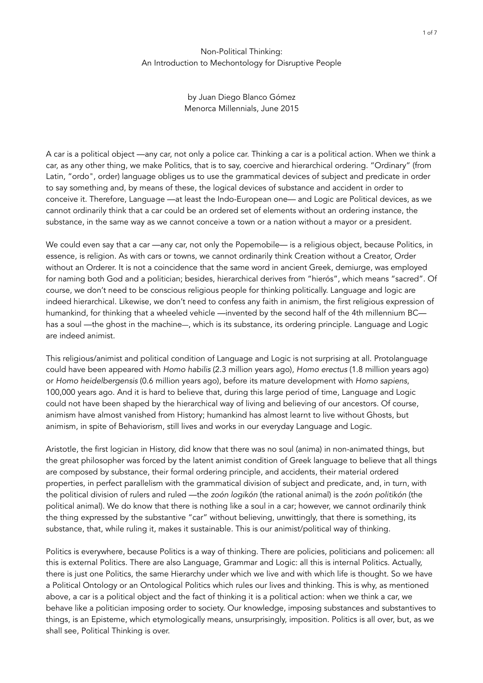## Non-Political Thinking: An Introduction to Mechontology for Disruptive People

by Juan Diego Blanco Gómez Menorca Millennials, June 2015

A car is a political object —any car, not only a police car. Thinking a car is a political action. When we think a car, as any other thing, we make Politics, that is to say, coercive and hierarchical ordering. "Ordinary" (from Latin, "ordo", order) language obliges us to use the grammatical devices of subject and predicate in order to say something and, by means of these, the logical devices of substance and accident in order to conceive it. Therefore, Language —at least the Indo-European one— and Logic are Political devices, as we cannot ordinarily think that a car could be an ordered set of elements without an ordering instance, the substance, in the same way as we cannot conceive a town or a nation without a mayor or a president.

We could even say that a car —any car, not only the Popemobile— is a religious object, because Politics, in essence, is religion. As with cars or towns, we cannot ordinarily think Creation without a Creator, Order without an Orderer. It is not a coincidence that the same word in ancient Greek, demiurge, was employed for naming both God and a politician; besides, hierarchical derives from "hierós", which means "sacred". Of course, we don't need to be conscious religious people for thinking politically. Language and logic are indeed hierarchical. Likewise, we don't need to confess any faith in animism, the first religious expression of humankind, for thinking that a wheeled vehicle —invented by the second half of the 4th millennium BC has a soul —the ghost in the machine—, which is its substance, its ordering principle. Language and Logic are indeed animist.

This religious/animist and political condition of Language and Logic is not surprising at all. Protolanguage could have been appeared with *Homo habilis* (2.3 million years ago), *Homo erectus* (1.8 million years ago) or *Homo heidelbergensis* (0.6 million years ago), before its mature development with *Homo sapiens*, 100,000 years ago. And it is hard to believe that, during this large period of time, Language and Logic could not have been shaped by the hierarchical way of living and believing of our ancestors. Of course, animism have almost vanished from History; humankind has almost learnt to live without Ghosts, but animism, in spite of Behaviorism, still lives and works in our everyday Language and Logic.

Aristotle, the first logician in History, did know that there was no soul (anima) in non-animated things, but the great philosopher was forced by the latent animist condition of Greek language to believe that all things are composed by substance, their formal ordering principle, and accidents, their material ordered properties, in perfect parallelism with the grammatical division of subject and predicate, and, in turn, with the political division of rulers and ruled —the *zoón logikón* (the rational animal) is the *zoón politikón* (the political animal). We do know that there is nothing like a soul in a car; however, we cannot ordinarily think the thing expressed by the substantive "car" without believing, unwittingly, that there is something, its substance, that, while ruling it, makes it sustainable. This is our animist/political way of thinking.

Politics is everywhere, because Politics is a way of thinking. There are policies, politicians and policemen: all this is external Politics. There are also Language, Grammar and Logic: all this is internal Politics. Actually, there is just one Politics, the same Hierarchy under which we live and with which life is thought. So we have a Political Ontology or an Ontological Politics which rules our lives and thinking. This is why, as mentioned above, a car is a political object and the fact of thinking it is a political action: when we think a car, we behave like a politician imposing order to society. Our knowledge, imposing substances and substantives to things, is an Episteme, which etymologically means, unsurprisingly, imposition. Politics is all over, but, as we shall see, Political Thinking is over.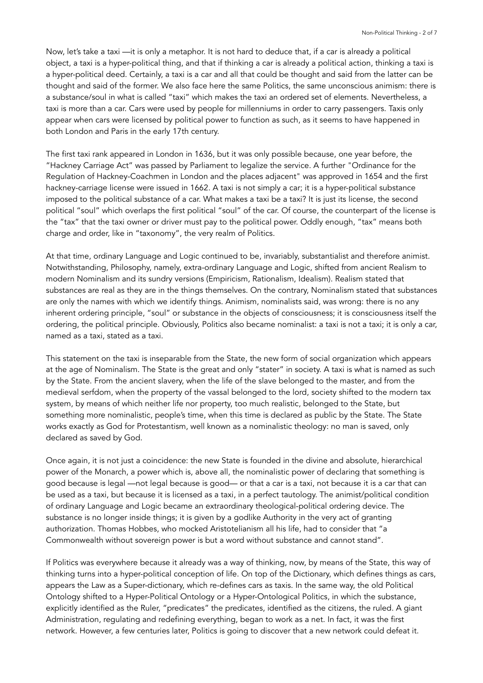Now, let's take a taxi —it is only a metaphor. It is not hard to deduce that, if a car is already a political object, a taxi is a hyper-political thing, and that if thinking a car is already a political action, thinking a taxi is a hyper-political deed. Certainly, a taxi is a car and all that could be thought and said from the latter can be thought and said of the former. We also face here the same Politics, the same unconscious animism: there is a substance/soul in what is called "taxi" which makes the taxi an ordered set of elements. Nevertheless, a taxi is more than a car. Cars were used by people for millenniums in order to carry passengers. Taxis only appear when cars were licensed by political power to function as such, as it seems to have happened in both London and Paris in the early 17th century.

The first taxi rank appeared in London in 1636, but it was only possible because, one year before, the "Hackney Carriage Act" was passed by Parliament to legalize the service. A further "Ordinance for the Regulation of Hackney-Coachmen in London and the places adjacent" was approved in 1654 and the first hackney-carriage license were issued in 1662. A taxi is not simply a car; it is a hyper-political substance imposed to the political substance of a car. What makes a taxi be a taxi? It is just its license, the second political "soul" which overlaps the first political "soul" of the car. Of course, the counterpart of the license is the "tax" that the taxi owner or driver must pay to the political power. Oddly enough, "tax" means both charge and order, like in "taxonomy", the very realm of Politics.

At that time, ordinary Language and Logic continued to be, invariably, substantialist and therefore animist. Notwithstanding, Philosophy, namely, extra-ordinary Language and Logic, shifted from ancient Realism to modern Nominalism and its sundry versions (Empiricism, Rationalism, Idealism). Realism stated that substances are real as they are in the things themselves. On the contrary, Nominalism stated that substances are only the names with which we identify things. Animism, nominalists said, was wrong: there is no any inherent ordering principle, "soul" or substance in the objects of consciousness; it is consciousness itself the ordering, the political principle. Obviously, Politics also became nominalist: a taxi is not a taxi; it is only a car, named as a taxi, stated as a taxi.

This statement on the taxi is inseparable from the State, the new form of social organization which appears at the age of Nominalism. The State is the great and only "stater" in society. A taxi is what is named as such by the State. From the ancient slavery, when the life of the slave belonged to the master, and from the medieval serfdom, when the property of the vassal belonged to the lord, society shifted to the modern tax system, by means of which neither life nor property, too much realistic, belonged to the State, but something more nominalistic, people's time, when this time is declared as public by the State. The State works exactly as God for Protestantism, well known as a nominalistic theology: no man is saved, only declared as saved by God.

Once again, it is not just a coincidence: the new State is founded in the divine and absolute, hierarchical power of the Monarch, a power which is, above all, the nominalistic power of declaring that something is good because is legal —not legal because is good— or that a car is a taxi, not because it is a car that can be used as a taxi, but because it is licensed as a taxi, in a perfect tautology. The animist/political condition of ordinary Language and Logic became an extraordinary theological-political ordering device. The substance is no longer inside things; it is given by a godlike Authority in the very act of granting authorization. Thomas Hobbes, who mocked Aristotelianism all his life, had to consider that "a Commonwealth without sovereign power is but a word without substance and cannot stand".

If Politics was everywhere because it already was a way of thinking, now, by means of the State, this way of thinking turns into a hyper-political conception of life. On top of the Dictionary, which defines things as cars, appears the Law as a Super-dictionary, which re-defines cars as taxis. In the same way, the old Political Ontology shifted to a Hyper-Political Ontology or a Hyper-Ontological Politics, in which the substance, explicitly identified as the Ruler, "predicates" the predicates, identified as the citizens, the ruled. A giant Administration, regulating and redefining everything, began to work as a net. In fact, it was the first network. However, a few centuries later, Politics is going to discover that a new network could defeat it.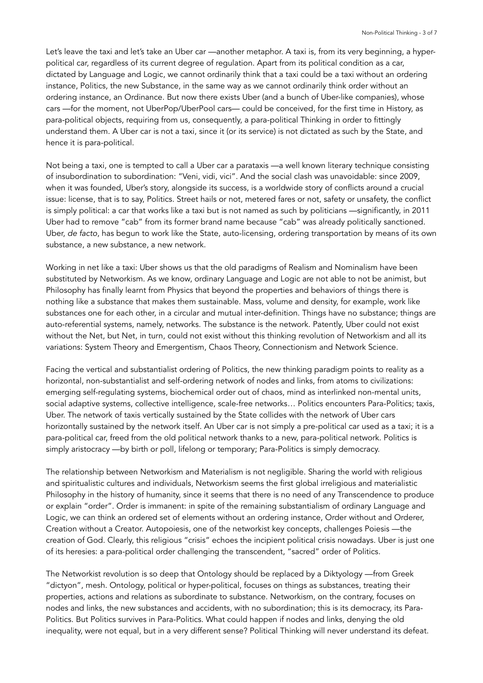Let's leave the taxi and let's take an Uber car —another metaphor. A taxi is, from its very beginning, a hyperpolitical car, regardless of its current degree of regulation. Apart from its political condition as a car, dictated by Language and Logic, we cannot ordinarily think that a taxi could be a taxi without an ordering instance, Politics, the new Substance, in the same way as we cannot ordinarily think order without an ordering instance, an Ordinance. But now there exists Uber (and a bunch of Uber-like companies), whose cars —for the moment, not UberPop/UberPool cars— could be conceived, for the first time in History, as para-political objects, requiring from us, consequently, a para-political Thinking in order to fittingly understand them. A Uber car is not a taxi, since it (or its service) is not dictated as such by the State, and hence it is para-political.

Not being a taxi, one is tempted to call a Uber car a parataxis —a well known literary technique consisting of insubordination to subordination: "Veni, vidi, vici". And the social clash was unavoidable: since 2009, when it was founded, Uber's story, alongside its success, is a worldwide story of conflicts around a crucial issue: license, that is to say, Politics. Street hails or not, metered fares or not, safety or unsafety, the conflict is simply political: a car that works like a taxi but is not named as such by politicians —significantly, in 2011 Uber had to remove "cab" from its former brand name because "cab" was already politically sanctioned. Uber, *de facto*, has begun to work like the State, auto-licensing, ordering transportation by means of its own substance, a new substance, a new network.

Working in net like a taxi: Uber shows us that the old paradigms of Realism and Nominalism have been substituted by Networkism. As we know, ordinary Language and Logic are not able to not be animist, but Philosophy has finally learnt from Physics that beyond the properties and behaviors of things there is nothing like a substance that makes them sustainable. Mass, volume and density, for example, work like substances one for each other, in a circular and mutual inter-definition. Things have no substance; things are auto-referential systems, namely, networks. The substance is the network. Patently, Uber could not exist without the Net, but Net, in turn, could not exist without this thinking revolution of Networkism and all its variations: System Theory and Emergentism, Chaos Theory, Connectionism and Network Science.

Facing the vertical and substantialist ordering of Politics, the new thinking paradigm points to reality as a horizontal, non-substantialist and self-ordering network of nodes and links, from atoms to civilizations: emerging self-regulating systems, biochemical order out of chaos, mind as interlinked non-mental units, social adaptive systems, collective intelligence, scale-free networks… Politics encounters Para-Politics; taxis, Uber. The network of taxis vertically sustained by the State collides with the network of Uber cars horizontally sustained by the network itself. An Uber car is not simply a pre-political car used as a taxi; it is a para-political car, freed from the old political network thanks to a new, para-political network. Politics is simply aristocracy —by birth or poll, lifelong or temporary; Para-Politics is simply democracy.

The relationship between Networkism and Materialism is not negligible. Sharing the world with religious and spiritualistic cultures and individuals, Networkism seems the first global irreligious and materialistic Philosophy in the history of humanity, since it seems that there is no need of any Transcendence to produce or explain "order". Order is immanent: in spite of the remaining substantialism of ordinary Language and Logic, we can think an ordered set of elements without an ordering instance, Order without and Orderer, Creation without a Creator. Autopoiesis, one of the networkist key concepts, challenges Poiesis —the creation of God. Clearly, this religious "crisis" echoes the incipient political crisis nowadays. Uber is just one of its heresies: a para-political order challenging the transcendent, "sacred" order of Politics.

The Networkist revolution is so deep that Ontology should be replaced by a Diktyology —from Greek "dictyon", mesh. Ontology, political or hyper-political, focuses on things as substances, treating their properties, actions and relations as subordinate to substance. Networkism, on the contrary, focuses on nodes and links, the new substances and accidents, with no subordination; this is its democracy, its Para-Politics. But Politics survives in Para-Politics. What could happen if nodes and links, denying the old inequality, were not equal, but in a very different sense? Political Thinking will never understand its defeat.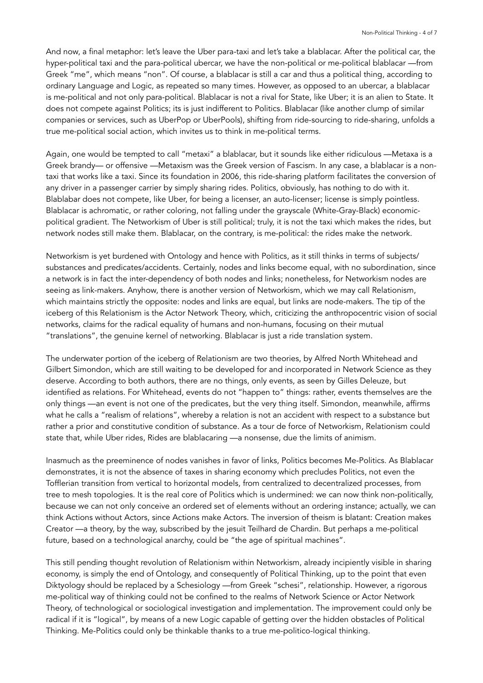And now, a final metaphor: let's leave the Uber para-taxi and let's take a blablacar. After the political car, the hyper-political taxi and the para-political ubercar, we have the non-political or me-political blablacar —from Greek "me", which means "non". Of course, a blablacar is still a car and thus a political thing, according to ordinary Language and Logic, as repeated so many times. However, as opposed to an ubercar, a blablacar is me-political and not only para-political. Blablacar is not a rival for State, like Uber; it is an alien to State. It does not compete against Politics; its is just indifferent to Politics. Blablacar (like another clump of similar companies or services, such as UberPop or UberPools), shifting from ride-sourcing to ride-sharing, unfolds a true me-political social action, which invites us to think in me-political terms.

Again, one would be tempted to call "metaxi" a blablacar, but it sounds like either ridiculous —Metaxa is a Greek brandy— or offensive —Metaxism was the Greek version of Fascism. In any case, a blablacar is a nontaxi that works like a taxi. Since its foundation in 2006, this ride-sharing platform facilitates the conversion of any driver in a passenger carrier by simply sharing rides. Politics, obviously, has nothing to do with it. Blablabar does not compete, like Uber, for being a licenser, an auto-licenser; license is simply pointless. Blablacar is achromatic, or rather coloring, not falling under the grayscale (White-Gray-Black) economicpolitical gradient. The Networkism of Uber is still political; truly, it is not the taxi which makes the rides, but network nodes still make them. Blablacar, on the contrary, is me-political: the rides make the network.

Networkism is yet burdened with Ontology and hence with Politics, as it still thinks in terms of subjects/ substances and predicates/accidents. Certainly, nodes and links become equal, with no subordination, since a network is in fact the inter-dependency of both nodes and links; nonetheless, for Networkism nodes are seeing as link-makers. Anyhow, there is another version of Networkism, which we may call Relationism, which maintains strictly the opposite: nodes and links are equal, but links are node-makers. The tip of the iceberg of this Relationism is the Actor Network Theory, which, criticizing the anthropocentric vision of social networks, claims for the radical equality of humans and non-humans, focusing on their mutual "translations", the genuine kernel of networking. Blablacar is just a ride translation system.

The underwater portion of the iceberg of Relationism are two theories, by Alfred North Whitehead and Gilbert Simondon, which are still waiting to be developed for and incorporated in Network Science as they deserve. According to both authors, there are no things, only events, as seen by Gilles Deleuze, but identified as relations. For Whitehead, events do not "happen to" things: rather, events themselves are the only things —an event is not one of the predicates, but the very thing itself. Simondon, meanwhile, affirms what he calls a "realism of relations", whereby a relation is not an accident with respect to a substance but rather a prior and constitutive condition of substance. As a tour de force of Networkism, Relationism could state that, while Uber rides, Rides are blablacaring —a nonsense, due the limits of animism.

Inasmuch as the preeminence of nodes vanishes in favor of links, Politics becomes Me-Politics. As Blablacar demonstrates, it is not the absence of taxes in sharing economy which precludes Politics, not even the Tofflerian transition from vertical to horizontal models, from centralized to decentralized processes, from tree to mesh topologies. It is the real core of Politics which is undermined: we can now think non-politically, because we can not only conceive an ordered set of elements without an ordering instance; actually, we can think Actions without Actors, since Actions make Actors. The inversion of theism is blatant: Creation makes Creator —a theory, by the way, subscribed by the jesuit Teilhard de Chardin. But perhaps a me-political future, based on a technological anarchy, could be "the age of spiritual machines".

This still pending thought revolution of Relationism within Networkism, already incipiently visible in sharing economy, is simply the end of Ontology, and consequently of Political Thinking, up to the point that even Diktyology should be replaced by a Schesiology —from Greek "schesi", relationship. However, a rigorous me-political way of thinking could not be confined to the realms of Network Science or Actor Network Theory, of technological or sociological investigation and implementation. The improvement could only be radical if it is "logical", by means of a new Logic capable of getting over the hidden obstacles of Political Thinking. Me-Politics could only be thinkable thanks to a true me-politico-logical thinking.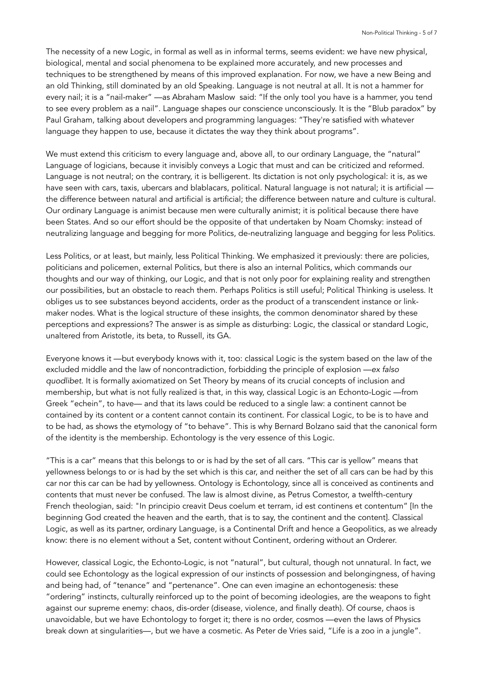The necessity of a new Logic, in formal as well as in informal terms, seems evident: we have new physical, biological, mental and social phenomena to be explained more accurately, and new processes and techniques to be strengthened by means of this improved explanation. For now, we have a new Being and an old Thinking, still dominated by an old Speaking. Language is not neutral at all. It is not a hammer for every nail; it is a "nail-maker" —as Abraham Maslow said: "If the only tool you have is a hammer, you tend to see every problem as a nail". Language shapes our conscience unconsciously. It is the "Blub paradox" by Paul Graham, talking about developers and programming languages: "They're satisfied with whatever language they happen to use, because it dictates the way they think about programs".

We must extend this criticism to every language and, above all, to our ordinary Language, the "natural" Language of logicians, because it invisibly conveys a Logic that must and can be criticized and reformed. Language is not neutral; on the contrary, it is belligerent. Its dictation is not only psychological: it is, as we have seen with cars, taxis, ubercars and blablacars, political. Natural language is not natural; it is artificial the difference between natural and artificial is artificial; the difference between nature and culture is cultural. Our ordinary Language is animist because men were culturally animist; it is political because there have been States. And so our effort should be the opposite of that undertaken by Noam Chomsky: instead of neutralizing language and begging for more Politics, de-neutralizing language and begging for less Politics.

Less Politics, or at least, but mainly, less Political Thinking. We emphasized it previously: there are policies, politicians and policemen, external Politics, but there is also an internal Politics, which commands our thoughts and our way of thinking, our Logic, and that is not only poor for explaining reality and strengthen our possibilities, but an obstacle to reach them. Perhaps Politics is still useful; Political Thinking is useless. It obliges us to see substances beyond accidents, order as the product of a transcendent instance or linkmaker nodes. What is the logical structure of these insights, the common denominator shared by these perceptions and expressions? The answer is as simple as disturbing: Logic, the classical or standard Logic, unaltered from Aristotle, its beta, to Russell, its GA.

Everyone knows it —but everybody knows with it, too: classical Logic is the system based on the law of the excluded middle and the law of noncontradiction, forbidding the principle of explosion —*ex falso quodlibet*. It is formally axiomatized on Set Theory by means of its crucial concepts of inclusion and membership, but what is not fully realized is that, in this way, classical Logic is an Echonto-Logic —from Greek "echein", to have— and that its laws could be reduced to a single law: a continent cannot be contained by its content or a content cannot contain its continent. For classical Logic, to be is to have and to be had, as shows the etymology of "to behave". This is why Bernard Bolzano said that the canonical form of the identity is the membership. Echontology is the very essence of this Logic.

"This is a car" means that this belongs to or is had by the set of all cars. "This car is yellow" means that yellowness belongs to or is had by the set which is this car, and neither the set of all cars can be had by this car nor this car can be had by yellowness. Ontology is Echontology, since all is conceived as continents and contents that must never be confused. The law is almost divine, as Petrus Comestor, a twelfth-century French theologian, said: "In principio creavit Deus coelum et terram, id est continens et contentum" [In the beginning God created the heaven and the earth, that is to say, the continent and the content]. Classical Logic, as well as its partner, ordinary Language, is a Continental Drift and hence a Geopolitics, as we already know: there is no element without a Set, content without Continent, ordering without an Orderer.

However, classical Logic, the Echonto-Logic, is not "natural", but cultural, though not unnatural. In fact, we could see Echontology as the logical expression of our instincts of possession and belongingness, of having and being had, of "tenance" and "pertenance". One can even imagine an echontogenesis: these "ordering" instincts, culturally reinforced up to the point of becoming ideologies, are the weapons to fight against our supreme enemy: chaos, dis-order (disease, violence, and finally death). Of course, chaos is unavoidable, but we have Echontology to forget it; there is no order, cosmos —even the laws of Physics break down at singularities—, but we have a cosmetic. As Peter de Vries said, "Life is a zoo in a jungle".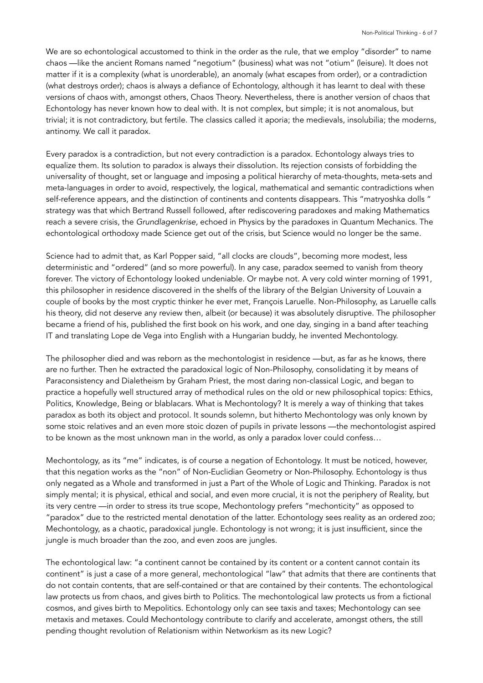We are so echontological accustomed to think in the order as the rule, that we employ "disorder" to name chaos —like the ancient Romans named "negotium" (business) what was not "otium" (leisure). It does not matter if it is a complexity (what is unorderable), an anomaly (what escapes from order), or a contradiction (what destroys order); chaos is always a defiance of Echontology, although it has learnt to deal with these versions of chaos with, amongst others, Chaos Theory. Nevertheless, there is another version of chaos that Echontology has never known how to deal with. It is not complex, but simple; it is not anomalous, but trivial; it is not contradictory, but fertile. The classics called it aporia; the medievals, insolubilia; the moderns, antinomy. We call it paradox.

Every paradox is a contradiction, but not every contradiction is a paradox. Echontology always tries to equalize them. Its solution to paradox is always their dissolution. Its rejection consists of forbidding the universality of thought, set or language and imposing a political hierarchy of meta-thoughts, meta-sets and meta-languages in order to avoid, respectively, the logical, mathematical and semantic contradictions when self-reference appears, and the distinction of continents and contents disappears. This "matryoshka dolls " strategy was that which Bertrand Russell followed, after rediscovering paradoxes and making Mathematics reach a severe crisis, the *Grundlagenkrise,* echoed in Physics by the paradoxes in Quantum Mechanics. The echontological orthodoxy made Science get out of the crisis, but Science would no longer be the same.

Science had to admit that, as Karl Popper said, "all clocks are clouds", becoming more modest, less deterministic and "ordered" (and so more powerful). In any case, paradox seemed to vanish from theory forever. The victory of Echontology looked undeniable. Or maybe not. A very cold winter morning of 1991, this philosopher in residence discovered in the shelfs of the library of the Belgian University of Louvain a couple of books by the most cryptic thinker he ever met, François Laruelle. Non-Philosophy, as Laruelle calls his theory, did not deserve any review then, albeit (or because) it was absolutely disruptive. The philosopher became a friend of his, published the first book on his work, and one day, singing in a band after teaching IT and translating Lope de Vega into English with a Hungarian buddy, he invented Mechontology.

The philosopher died and was reborn as the mechontologist in residence —but, as far as he knows, there are no further. Then he extracted the paradoxical logic of Non-Philosophy, consolidating it by means of Paraconsistency and Dialetheism by Graham Priest, the most daring non-classical Logic, and began to practice a hopefully well structured array of methodical rules on the old or new philosophical topics: Ethics, Politics, Knowledge, Being or blablacars. What is Mechontology? It is merely a way of thinking that takes paradox as both its object and protocol. It sounds solemn, but hitherto Mechontology was only known by some stoic relatives and an even more stoic dozen of pupils in private lessons —the mechontologist aspired to be known as the most unknown man in the world, as only a paradox lover could confess…

Mechontology, as its "me" indicates, is of course a negation of Echontology. It must be noticed, however, that this negation works as the "non" of Non-Euclidian Geometry or Non-Philosophy. Echontology is thus only negated as a Whole and transformed in just a Part of the Whole of Logic and Thinking. Paradox is not simply mental; it is physical, ethical and social, and even more crucial, it is not the periphery of Reality, but its very centre —in order to stress its true scope, Mechontology prefers "mechonticity" as opposed to "paradox" due to the restricted mental denotation of the latter. Echontology sees reality as an ordered zoo; Mechontology, as a chaotic, paradoxical jungle. Echontology is not wrong; it is just insufficient, since the jungle is much broader than the zoo, and even zoos are jungles.

The echontological law: "a continent cannot be contained by its content or a content cannot contain its continent" is just a case of a more general, mechontological "law" that admits that there are continents that do not contain contents, that are self-contained or that are contained by their contents. The echontological law protects us from chaos, and gives birth to Politics. The mechontological law protects us from a fictional cosmos, and gives birth to Mepolitics. Echontology only can see taxis and taxes; Mechontology can see metaxis and metaxes. Could Mechontology contribute to clarify and accelerate, amongst others, the still pending thought revolution of Relationism within Networkism as its new Logic?